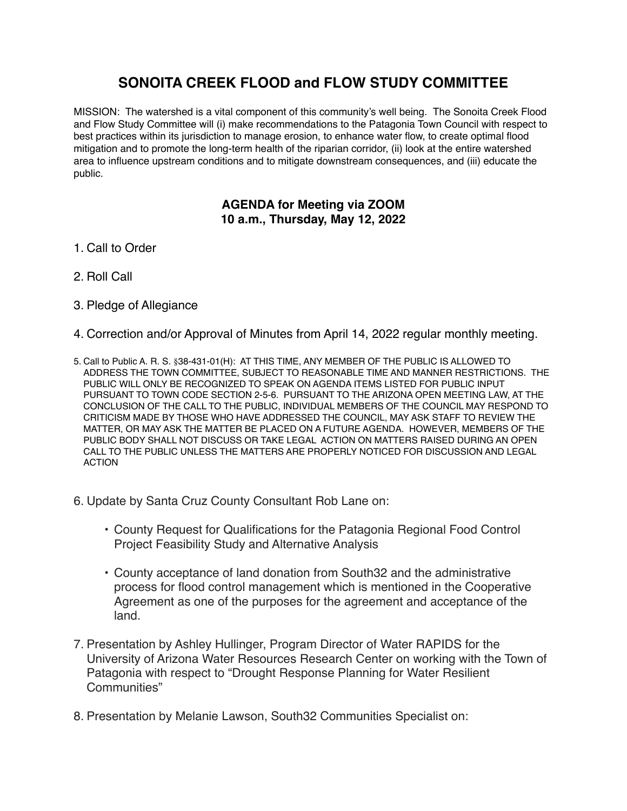## **SONOITA CREEK FLOOD and FLOW STUDY COMMITTEE**

MISSION: The watershed is a vital component of this community's well being. The Sonoita Creek Flood and Flow Study Committee will (i) make recommendations to the Patagonia Town Council with respect to best practices within its jurisdiction to manage erosion, to enhance water flow, to create optimal flood mitigation and to promote the long-term health of the riparian corridor, (ii) look at the entire watershed area to influence upstream conditions and to mitigate downstream consequences, and (iii) educate the public.

## **AGENDA for Meeting via ZOOM 10 a.m., Thursday, May 12, 2022**

- 1. Call to Order
- 2. Roll Call
- 3. Pledge of Allegiance
- 4. Correction and/or Approval of Minutes from April 14, 2022 regular monthly meeting.
- 5. Call to Public A. R. S. §38-431-01(H): AT THIS TIME, ANY MEMBER OF THE PUBLIC IS ALLOWED TO ADDRESS THE TOWN COMMITTEE, SUBJECT TO REASONABLE TIME AND MANNER RESTRICTIONS. THE PUBLIC WILL ONLY BE RECOGNIZED TO SPEAK ON AGENDA ITEMS LISTED FOR PUBLIC INPUT PURSUANT TO TOWN CODE SECTION 2-5-6. PURSUANT TO THE ARIZONA OPEN MEETING LAW, AT THE CONCLUSION OF THE CALL TO THE PUBLIC, INDIVIDUAL MEMBERS OF THE COUNCIL MAY RESPOND TO CRITICISM MADE BY THOSE WHO HAVE ADDRESSED THE COUNCIL, MAY ASK STAFF TO REVIEW THE MATTER, OR MAY ASK THE MATTER BE PLACED ON A FUTURE AGENDA. HOWEVER, MEMBERS OF THE PUBLIC BODY SHALL NOT DISCUSS OR TAKE LEGAL ACTION ON MATTERS RAISED DURING AN OPEN CALL TO THE PUBLIC UNLESS THE MATTERS ARE PROPERLY NOTICED FOR DISCUSSION AND LEGAL ACTION
- 6. Update by Santa Cruz County Consultant Rob Lane on:
	- County Request for Qualifications for the Patagonia Regional Food Control Project Feasibility Study and Alternative Analysis
	- County acceptance of land donation from South32 and the administrative process for flood control management which is mentioned in the Cooperative Agreement as one of the purposes for the agreement and acceptance of the land.
- 7. Presentation by Ashley Hullinger, Program Director of Water RAPIDS for the University of Arizona Water Resources Research Center on working with the Town of Patagonia with respect to "Drought Response Planning for Water Resilient Communities"
- 8. Presentation by Melanie Lawson, South32 Communities Specialist on: